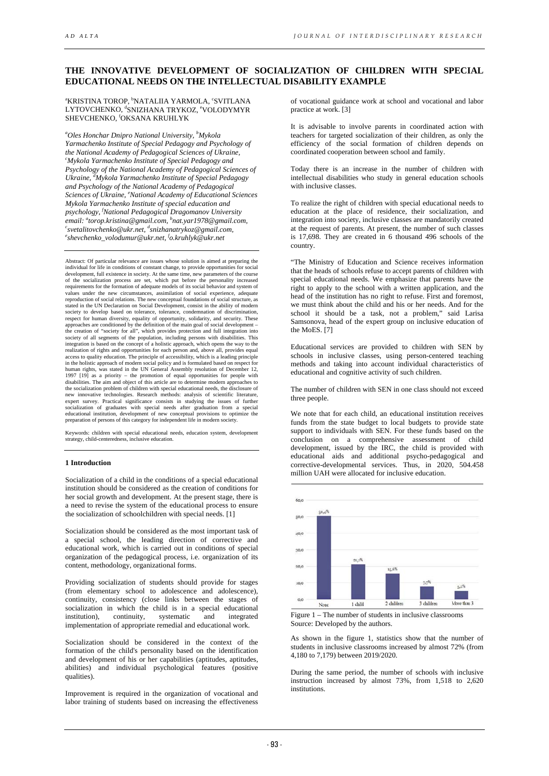# **THE INNOVATIVE DEVELOPMENT OF SOCIALIZATION OF CHILDREN WITH SPECIAL EDUCATIONAL NEEDS ON THE INTELLECTUAL DISABILITY EXAMPLE**

<sup>a</sup>KRISTINA TOROP, <sup>b</sup>NATALIIA YARMOLA, 'SVITLANA LYTOVCHENKO, <sup>d</sup>SNIZHANA TRYKOZ, <sup>e</sup>VOLODYMYR SHEVCHENKO, <sup>f</sup>OKSANA KRUHLYK

*a Oles Honchar Dnipro National University, b Mykola Yarmachenko Institute of Special Pedagogy and Psychology of the National Academy of Pedagogical Sciences of Ukraine, c Mykola Yarmachenko Institute of Special Pedagogy and Psychology of the National Academy of Pedagogical Sciences of Ukraine, d Mykola Yarmachenko Institute of Special Pedagogy and Psychology of the National Academy of Pedagogical Sciences of Ukraine, e National Academy of Educational Sciences Mykola Yarmachenko Institute of special education and psychology, f National Pedagogical Dragomanov University email: a torop.kristina@gmail.com, b nat.yar1978@gmail.com, c svetalitovchenko@ukr.net, d snizhanatrykoz@gmail.com, e shevchenko\_volodumur@ukr.net, f o.kruhlyk@ukr.net* 

Abstract: Of particular relevance are issues whose solution is aimed at preparing the individual for life in conditions of constant change, to provide opportunities for social<br>development, full existence in society. At the same time, new parameters of the course<br>of the socialization process are set, which p requirements for the formation of adequate models of its social behavior and system of values under the new circumstances, assimilation of social experience, adequate reproduction of social relations. The new conceptual foundations of social structure, as stated in the UN Declaration on Social Development, consist in the ability of modern society to develop based on tolerance, tolerance, condemnation of discrimination, respect for human diversity, equality of opportunity, solidarity, and security. These approaches are conditioned by the definition of the main goal of social development – the creation of "society for all", which provides protection and full integration into society of all segments of the population, including persons with disabilities. This integration is based on the concept of a holistic approach, which opens the way to the realization of rights and opportunities for each person and, above all, provides equal access to quality education. The principle of accessibility, which is a leading principle in the holistic approach of modern social policy and is formulated based on respect for<br>human rights, was stated in the UN General Assembly resolution of December 12,<br>1997 [19] as a priority – the promotion of equal opport disabilities. The aim and object of this article are to determine modern approaches to the socialization problem of children with special educational needs, the disclosure of new innovative technologies. Research methods: analysis of scientific literature, expert survey. Practical significance consists in studying the issues of further socialization of graduates with special needs after graduation from a special educational institution, development of new conceptual provisions to optimize the preparation of persons of this category for independent life in modern society.

Keywords: children with special educational needs, education system, development strategy, child-centeredness, inclusive education.

## **1 Introduction**

Socialization of a child in the conditions of a special educational institution should be considered as the creation of conditions for her social growth and development. At the present stage, there is a need to revise the system of the educational process to ensure the socialization of schoolchildren with special needs. [1]

Socialization should be considered as the most important task of a special school, the leading direction of corrective and educational work, which is carried out in conditions of special organization of the pedagogical process, i.e. organization of its content, methodology, organizational forms.

Providing socialization of students should provide for stages (from elementary school to adolescence and adolescence), continuity, consistency (close links between the stages of socialization in which the child is in a special educational institution), continuity, systematic and integrated institution), continuity, systematic and integrated implementation of appropriate remedial and educational work.

Socialization should be considered in the context of the formation of the child's personality based on the identification and development of his or her capabilities (aptitudes, aptitudes, abilities) and individual psychological features (positive qualities).

Improvement is required in the organization of vocational and labor training of students based on increasing the effectiveness

of vocational guidance work at school and vocational and labor practice at work. [3]

It is advisable to involve parents in coordinated action with teachers for targeted socialization of their children, as only the efficiency of the social formation of children depends on coordinated cooperation between school and family.

Today there is an increase in the number of children with intellectual disabilities who study in general education schools with inclusive classes.

To realize the right of children with special educational needs to education at the place of residence, their socialization, and integration into society, inclusive classes are mandatorily created at the request of parents. At present, the number of such classes is 17,698. They are created in 6 thousand 496 schools of the country.

"The Ministry of Education and Science receives information that the heads of schools refuse to accept parents of children with special educational needs. We emphasize that parents have the right to apply to the school with a written application, and the head of the institution has no right to refuse. First and foremost, we must think about the child and his or her needs. And for the school it should be a task, not a problem," said Larisa Samsonova, head of the expert group on inclusive education of the MoES. [7]

Educational services are provided to children with SEN by schools in inclusive classes, using person-centered teaching methods and taking into account individual characteristics of educational and cognitive activity of such children.

The number of children with SEN in one class should not exceed three people.

We note that for each child, an educational institution receives funds from the state budget to local budgets to provide state support to individuals with SEN. For these funds based on the conclusion on a comprehensive assessment of child development, issued by the IRC, the child is provided with educational aids and additional psycho-pedagogical and corrective-developmental services. Thus, in 2020, 504.458 million UAH were allocated for inclusive education.



Source: Developed by the authors.

As shown in the figure 1, statistics show that the number of students in inclusive classrooms increased by almost 72% (from 4,180 to 7,179) between 2019/2020.

During the same period, the number of schools with inclusive instruction increased by almost 73%, from 1,518 to 2,620 institutions.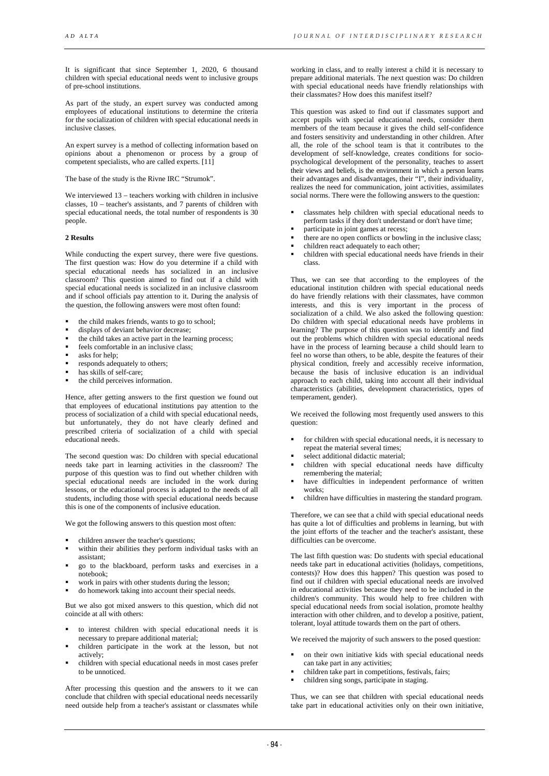It is significant that since September 1, 2020, 6 thousand children with special educational needs went to inclusive groups of pre-school institutions.

As part of the study, an expert survey was conducted among employees of educational institutions to determine the criteria for the socialization of children with special educational needs in inclusive classes.

An expert survey is a method of collecting information based on opinions about a phenomenon or process by a group of competent specialists, who are called experts. [11]

The base of the study is the Rivne IRC "Strumok".

We interviewed 13 – teachers working with children in inclusive classes, 10 – teacher's assistants, and 7 parents of children with special educational needs, the total number of respondents is 30 people.

#### **2 Results**

While conducting the expert survey, there were five questions. The first question was: How do you determine if a child with special educational needs has socialized in an inclusive classroom? This question aimed to find out if a child with special educational needs is socialized in an inclusive classroom and if school officials pay attention to it. During the analysis of the question, the following answers were most often found:

- the child makes friends, wants to go to school;
- displays of deviant behavior decrease;
- the child takes an active part in the learning process;
- feels comfortable in an inclusive class;
- asks for help;
- responds adequately to others;
- has skills of self-care;
- the child perceives information.

Hence, after getting answers to the first question we found out that employees of educational institutions pay attention to the process of socialization of a child with special educational needs, but unfortunately, they do not have clearly defined and prescribed criteria of socialization of a child with special educational needs.

The second question was: Do children with special educational needs take part in learning activities in the classroom? The purpose of this question was to find out whether children with special educational needs are included in the work during lessons, or the educational process is adapted to the needs of all students, including those with special educational needs because this is one of the components of inclusive education.

We got the following answers to this question most often:

- children answer the teacher's questions;
- within their abilities they perform individual tasks with an assistant;
- go to the blackboard, perform tasks and exercises in a notebook;
- work in pairs with other students during the lesson;
- do homework taking into account their special needs.

But we also got mixed answers to this question, which did not coincide at all with others:

- to interest children with special educational needs it is necessary to prepare additional material;
- children participate in the work at the lesson, but not actively;
- children with special educational needs in most cases prefer to be unnoticed.

After processing this question and the answers to it we can conclude that children with special educational needs necessarily need outside help from a teacher's assistant or classmates while

working in class, and to really interest a child it is necessary to prepare additional materials. The next question was: Do children with special educational needs have friendly relationships with their classmates? How does this manifest itself?

This question was asked to find out if classmates support and accept pupils with special educational needs, consider them members of the team because it gives the child self-confidence and fosters sensitivity and understanding in other children. After all, the role of the school team is that it contributes to the development of self-knowledge, creates conditions for sociopsychological development of the personality, teaches to assert their views and beliefs, is the environment in which a person learns their advantages and disadvantages, their "I", their individuality, realizes the need for communication, joint activities, assimilates social norms. There were the following answers to the question:

- classmates help children with special educational needs to perform tasks if they don't understand or don't have time;
- participate in joint games at recess;
- there are no open conflicts or bowling in the inclusive class;
- children react adequately to each other;
- children with special educational needs have friends in their class.

Thus, we can see that according to the employees of the educational institution children with special educational needs do have friendly relations with their classmates, have common interests, and this is very important in the process of socialization of a child. We also asked the following question: Do children with special educational needs have problems in learning? The purpose of this question was to identify and find out the problems which children with special educational needs have in the process of learning because a child should learn to feel no worse than others, to be able, despite the features of their physical condition, freely and accessibly receive information, because the basis of inclusive education is an individual approach to each child, taking into account all their individual characteristics (abilities, development characteristics, types of temperament, gender).

We received the following most frequently used answers to this question:

- for children with special educational needs, it is necessary to repeat the material several times;
- select additional didactic material;
- children with special educational needs have difficulty remembering the material;
- have difficulties in independent performance of written works;
- children have difficulties in mastering the standard program.

Therefore, we can see that a child with special educational needs has quite a lot of difficulties and problems in learning, but with the joint efforts of the teacher and the teacher's assistant, these difficulties can be overcome.

The last fifth question was: Do students with special educational needs take part in educational activities (holidays, competitions, contests)? How does this happen? This question was posed to find out if children with special educational needs are involved in educational activities because they need to be included in the children's community. This would help to free children with special educational needs from social isolation, promote healthy interaction with other children, and to develop a positive, patient, tolerant, loyal attitude towards them on the part of others.

We received the majority of such answers to the posed question:

- on their own initiative kids with special educational needs can take part in any activities;
- children take part in competitions, festivals, fairs;
- children sing songs, participate in staging.

Thus, we can see that children with special educational needs take part in educational activities only on their own initiative,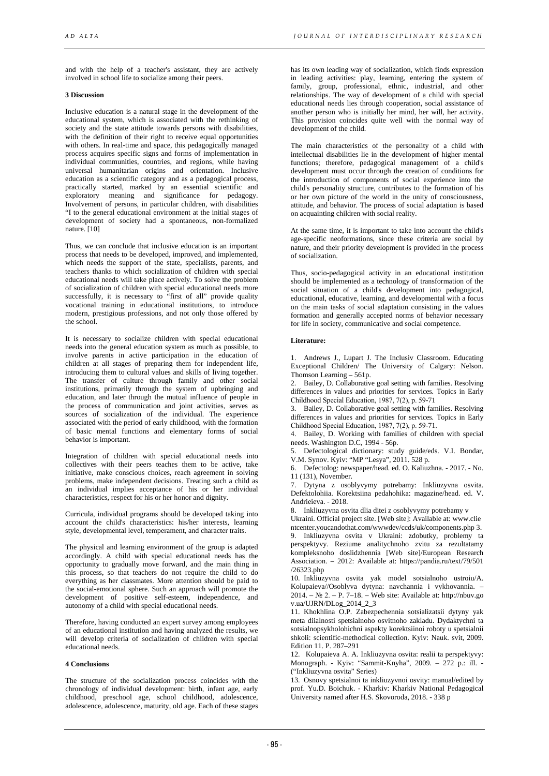and with the help of a teacher's assistant, they are actively involved in school life to socialize among their peers.

# **3 Discussion**

Inclusive education is a natural stage in the development of the educational system, which is associated with the rethinking of society and the state attitude towards persons with disabilities, with the definition of their right to receive equal opportunities with others. In real-time and space, this pedagogically managed process acquires specific signs and forms of implementation in individual communities, countries, and regions, while having universal humanitarian origins and orientation. Inclusive education as a scientific category and as a pedagogical process, practically started, marked by an essential scientific and exploratory meaning and significance for pedagogy. Involvement of persons, in particular children, with disabilities "I to the general educational environment at the initial stages of development of society had a spontaneous, non-formalized nature. [10]

Thus, we can conclude that inclusive education is an important process that needs to be developed, improved, and implemented, which needs the support of the state, specialists, parents, and teachers thanks to which socialization of children with special educational needs will take place actively. To solve the problem of socialization of children with special educational needs more successfully, it is necessary to "first of all" provide quality vocational training in educational institutions, to introduce modern, prestigious professions, and not only those offered by the school.

It is necessary to socialize children with special educational needs into the general education system as much as possible, to involve parents in active participation in the education of children at all stages of preparing them for independent life, introducing them to cultural values and skills of living together. The transfer of culture through family and other social institutions, primarily through the system of upbringing and education, and later through the mutual influence of people in the process of communication and joint activities, serves as sources of socialization of the individual. The experience associated with the period of early childhood, with the formation of basic mental functions and elementary forms of social behavior is important.

Integration of children with special educational needs into collectives with their peers teaches them to be active, take initiative, make conscious choices, reach agreement in solving problems, make independent decisions. Treating such a child as an individual implies acceptance of his or her individual characteristics, respect for his or her honor and dignity.

Curricula, individual programs should be developed taking into account the child's characteristics: his/her interests, learning style, developmental level, temperament, and character traits.

The physical and learning environment of the group is adapted accordingly. A child with special educational needs has the opportunity to gradually move forward, and the main thing in this process, so that teachers do not require the child to do everything as her classmates. More attention should be paid to the social-emotional sphere. Such an approach will promote the development of positive self-esteem, independence, and autonomy of a child with special educational needs.

Therefore, having conducted an expert survey among employees of an educational institution and having analyzed the results, we will develop criteria of socialization of children with special educational needs.

# **4 Conclusions**

The structure of the socialization process coincides with the chronology of individual development: birth, infant age, early childhood, preschool age, school childhood, adolescence, adolescence, adolescence, maturity, old age. Each of these stages

has its own leading way of socialization, which finds expression in leading activities: play, learning, entering the system of family, group, professional, ethnic, industrial, and other relationships. The way of development of a child with special educational needs lies through cooperation, social assistance of another person who is initially her mind, her will, her activity. This provision coincides quite well with the normal way of development of the child.

The main characteristics of the personality of a child with intellectual disabilities lie in the development of higher mental functions; therefore, pedagogical management of a child's development must occur through the creation of conditions for the introduction of components of social experience into the child's personality structure, contributes to the formation of his or her own picture of the world in the unity of consciousness, attitude, and behavior. The process of social adaptation is based on acquainting children with social reality.

At the same time, it is important to take into account the child's age-specific neoformations, since these criteria are social by nature, and their priority development is provided in the process of socialization.

Thus, socio-pedagogical activity in an educational institution should be implemented as a technology of transformation of the social situation of a child's development into pedagogical, educational, educative, learning, and developmental with a focus on the main tasks of social adaptation consisting in the values formation and generally accepted norms of behavior necessary for life in society, communicative and social competence.

## **Literature:**

1. Andrews J., Lupart J. The Inclusiv Classroom. Educating Exceptional Children/ The University of Calgary: Nelson. Thomson Learning – 561p.

2. Bailey, D. Collaborative goal setting with families. Resolving differences in values and priorities for services. Topics in Early Childhood Special Education, 1987, 7(2), р. 59-71

3. Bailey, D. Collaborative goal setting with families. Resolving differences in values and priorities for services. Topics in Early Childhood Special Education, 1987, 7(2), р. 59-71.

4. Bailey, D. Working with families of children with special needs. Washington D.C, 1994 - 56p.

5. Defectological dictionary: study guide/eds. V.I. Bondar, V.M. Synov. Kyiv: "МР "Lesya", 2011. 528 p.

6. Defectolog: newspaper/head. ed. O. Kaliuzhna. - 2017. - No. 11 (131), November.

7. Dytyna z osoblyvymy potrebamy: Inkliuzyvna osvita. Defektolohiia. Korektsiina pedahohika: magazine/head. ed. V. Andrieieva. - 2018.

8. Inkliuzyvna osvita dlia ditei z osoblyvymy potrebamy v

Ukraini. Official project site. [Web site]: Available at: www.clie ntcenter.youcandothat.com/wwwdev/ccds/uk/components.php 3.

9. Inkliuzyvna osvita v Ukraini: zdobutky, problemy ta perspektyvy. Reziume analitychnoho zvitu za rezultatamy kompleksnoho doslidzhennia [Web site]/European Research Association. – 2012: Available at: https://pandia.ru/text/79/501 /26323.php

10. Inkliuzyvna osvita yak model sotsialnoho ustroiu/A. Kolupaieva//Osoblyva dytyna: navchannia i vykhovannia. – 2014. – № 2. – P. 7–18. – Web site: Available at: http://nbuv.go v.ua/UJRN/DLog\_2014\_2\_3

11. Khokhlina O.P. Zabezpechennia sotsializatsii dytyny yak meta diialnosti spetsialnoho osvitnoho zakladu. Dydaktychni ta sotsialnopsykholohichni aspekty korektsiinoi roboty u spetsialnii shkoli: scientific-methodical collection. Kyiv: Nauk. svit, 2009. Edition 11. P. 287–291

12. Kolupaieva A. A. Inkliuzyvna osvita: realii ta perspektyvy: Monograph. - Kyiv: "Sammit-Knyha", 2009. – 272 p.: ill. - ("Inkliuzyvna osvita" Series)

13. Osnovy spetsialnoi ta inkliuzyvnoi osvity: manual/edited by prof. Yu.D. Boichuk. - Kharkiv: Kharkiv National Pedagogical University named after H.S. Skovoroda, 2018. - 338 p